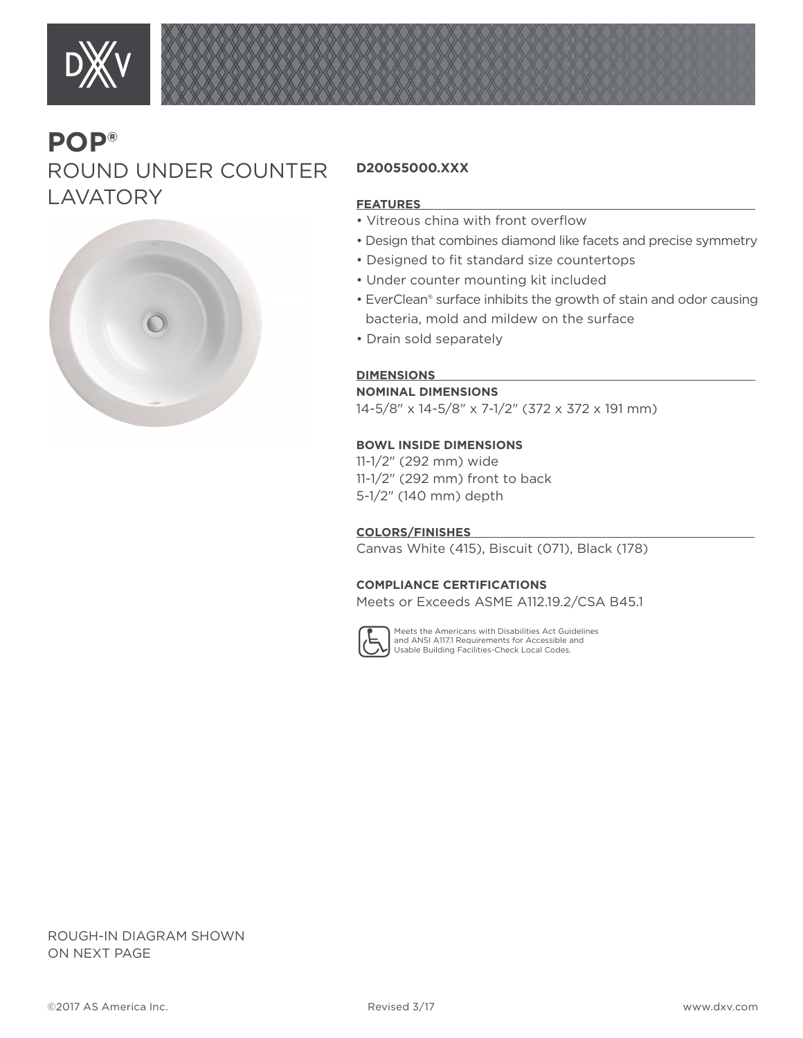

# **POP®** ROUND UNDER COUNTER **LAVATORY**



## **D20055000.XXX**

### **FEATURES**

- Vitreous china with front overflow
- Design that combines diamond like facets and precise symmetry
- Designed to fit standard size countertops
- Under counter mounting kit included
- EverClean® surface inhibits the growth of stain and odor causing bacteria, mold and mildew on the surface
- Drain sold separately

#### **DIMENSIONS**

### **NOMINAL DIMENSIONS**

14-5/8" x 14-5/8" x 7-1/2" (372 x 372 x 191 mm)

#### **BOWL INSIDE DIMENSIONS**

11-1/2" (292 mm) wide 11-1/2" (292 mm) front to back 5-1/2" (140 mm) depth

**COLORS/FINISHES** 

Canvas White (415), Biscuit (071), Black (178)

#### **COMPLIANCE CERTIFICATIONS**

Meets or Exceeds ASME A112.19.2/CSA B45.1



Meets the Americans with Disabilities Act Guidelines and ANSI A117.1 Requirements for Accessible and Usable Building Facilities-Check Local Codes.

ROUGH-IN DIAGRAM SHOWN ON NEXT PAGE